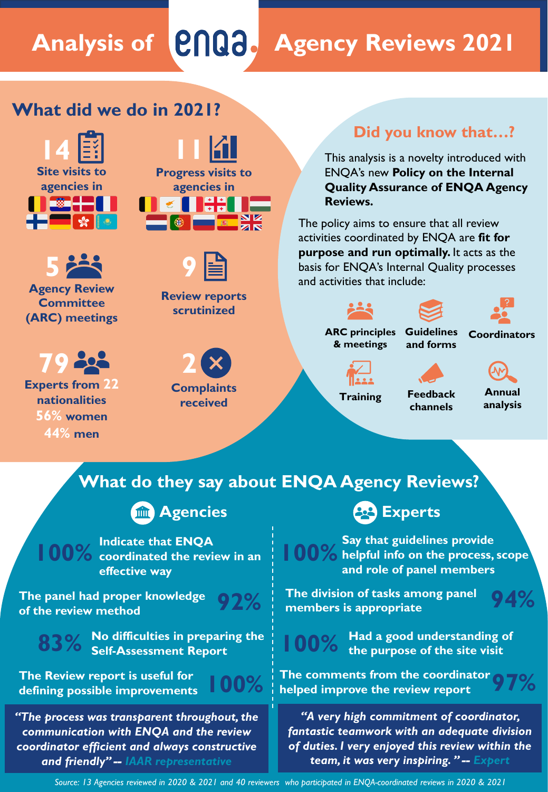# **Analysis of Agency Reviews 2021**

# **What did we do in 2021?**



**5 Agency Review Committee (ARC) meetings**

# **79**

**Experts from 22 nationalities 56% women 44% men**





**Review reports scrutinized**



**received**

### **Did you know that…?**

This analysis is a novelty introduced with ENQA's new **Policy on the Internal Quality Assurance of ENQA Agency Reviews.**

The policy aims to ensure that all review activities coordinated by ENQA are **fit for purpose and run optimally.** It acts as the basis for ENQA's Internal Quality processes and activities that include:



**ARC principles & meetings**



**Training** 

**Feedback channels**

**Annual analysis**

# **What do they say about ENQA Agency Reviews?**

# **Agencies Experts**

**100% Indicate that ENQA coordinated the review in an effective way**

**The panel had proper knowledge of the review method 92%**





**83% No difficulties in preparing the Self-Assessment Report**

**The Review report is useful for defining possible improvements 100%**



*"The process was transparent throughout, the communication with ENQA and the review coordinator efficient and always constructive and friendly" -- IAAR representative*

**100%** Say that guidelines provide **100%** helpful info on the process, scope **and role of panel members**

**The division of tasks among panel members is appropriate 94%**

**100% Had a good understanding of the purpose of the site visit**

**97% The comments from the coordinator helped improve the review report**

*"A very high commitment of coordinator, fantastic teamwork with an adequate division of duties. I very enjoyed this review within the team, it was very inspiring. " -- Expert*

*Source: 13 Agencies reviewed in 2020 & 2021 and 40 reviewers who participated in ENQA-coordinated reviews in 2020 & 2021*